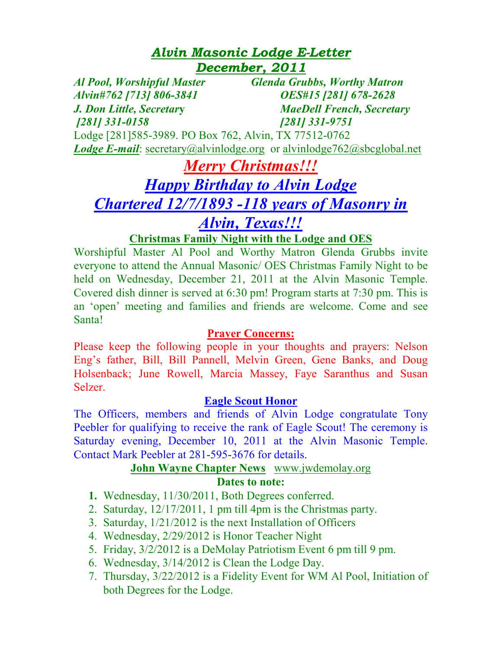## *Alvin Masonic Lodge E-Letter December, 2011*

*Al Pool, Worshipful Master Glenda Grubbs, Worthy Matron Alvin#762 [713] 806-3841 OES#15 [281] 678-2628 J. Don Little, Secretar***y** *MaeDell French, Secretary [281] 331-0158 [281] 331-9751*  Lodge [281]585-3989. PO Box 762, Alvin, TX 77512-0762 *Lodge E-mail*: secretary@alvinlodge.org or alvinlodge762@sbcglobal.net

## *Merry Christmas!!! Happy Birthday to Alvin Lodge Chartered 12/7/1893 -118 years of Masonry in Alvin, Texas!!!*

## **Christmas Family Night with the Lodge and OES**

Worshipful Master Al Pool and Worthy Matron Glenda Grubbs invite everyone to attend the Annual Masonic/ OES Christmas Family Night to be held on Wednesday, December 21, 2011 at the Alvin Masonic Temple. Covered dish dinner is served at 6:30 pm! Program starts at 7:30 pm. This is an 'open' meeting and families and friends are welcome. Come and see Santa!

## **Prayer Concerns:**

Please keep the following people in your thoughts and prayers: Nelson Eng's father, Bill, Bill Pannell, Melvin Green, Gene Banks, and Doug Holsenback; June Rowell, Marcia Massey, Faye Saranthus and Susan Selzer.

## **Eagle Scout Honor**

The Officers, members and friends of Alvin Lodge congratulate Tony Peebler for qualifying to receive the rank of Eagle Scout! The ceremony is Saturday evening, December 10, 2011 at the Alvin Masonic Temple. Contact Mark Peebler at 281-595-3676 for details.

## **John Wayne Chapter News** www.jwdemolay.org

#### **Dates to note:**

- **1.** Wednesday, 11/30/2011, Both Degrees conferred.
- 2. Saturday, 12/17/2011, 1 pm till 4pm is the Christmas party.
- 3. Saturday, 1/21/2012 is the next Installation of Officers
- 4. Wednesday, 2/29/2012 is Honor Teacher Night
- 5. Friday, 3/2/2012 is a DeMolay Patriotism Event 6 pm till 9 pm.
- 6. Wednesday, 3/14/2012 is Clean the Lodge Day.
- 7. Thursday, 3/22/2012 is a Fidelity Event for WM Al Pool, Initiation of both Degrees for the Lodge.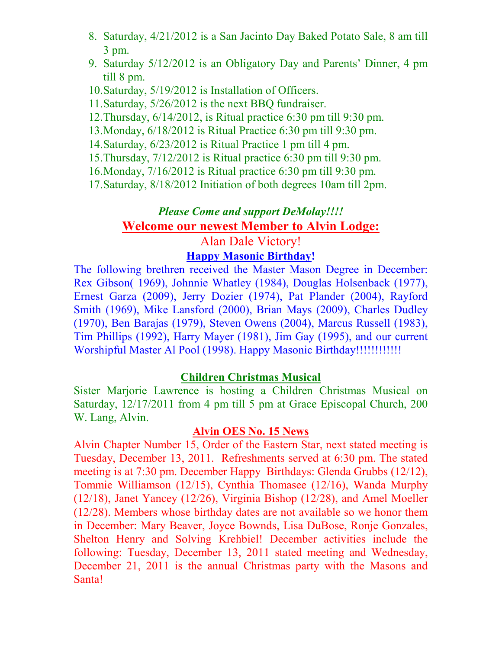- 8. Saturday, 4/21/2012 is a San Jacinto Day Baked Potato Sale, 8 am till 3 pm.
- 9. Saturday 5/12/2012 is an Obligatory Day and Parents' Dinner, 4 pm till 8 pm.
- 10.Saturday, 5/19/2012 is Installation of Officers.
- 11.Saturday, 5/26/2012 is the next BBQ fundraiser.
- 12.Thursday, 6/14/2012, is Ritual practice 6:30 pm till 9:30 pm.
- 13.Monday, 6/18/2012 is Ritual Practice 6:30 pm till 9:30 pm.
- 14.Saturday, 6/23/2012 is Ritual Practice 1 pm till 4 pm.
- 15.Thursday, 7/12/2012 is Ritual practice 6:30 pm till 9:30 pm.
- 16.Monday, 7/16/2012 is Ritual practice 6:30 pm till 9:30 pm.
- 17.Saturday, 8/18/2012 Initiation of both degrees 10am till 2pm.

## *Please Come and support DeMolay!!!!*  **Welcome our newest Member to Alvin Lodge:**

## Alan Dale Victory!

## **Happy Masonic Birthday!**

The following brethren received the Master Mason Degree in December: Rex Gibson( 1969), Johnnie Whatley (1984), Douglas Holsenback (1977), Ernest Garza (2009), Jerry Dozier (1974), Pat Plander (2004), Rayford Smith (1969), Mike Lansford (2000), Brian Mays (2009), Charles Dudley (1970), Ben Barajas (1979), Steven Owens (2004), Marcus Russell (1983), Tim Phillips (1992), Harry Mayer (1981), Jim Gay (1995), and our current Worshipful Master Al Pool (1998). Happy Masonic Birthday!!!!!!!!!!!!

#### **Children Christmas Musical**

Sister Marjorie Lawrence is hosting a Children Christmas Musical on Saturday, 12/17/2011 from 4 pm till 5 pm at Grace Episcopal Church, 200 W. Lang, Alvin.

## **Alvin OES No. 15 News**

Alvin Chapter Number 15, Order of the Eastern Star, next stated meeting is Tuesday, December 13, 2011. Refreshments served at 6:30 pm. The stated meeting is at 7:30 pm. December Happy Birthdays: Glenda Grubbs (12/12), Tommie Williamson (12/15), Cynthia Thomasee (12/16), Wanda Murphy (12/18), Janet Yancey (12/26), Virginia Bishop (12/28), and Amel Moeller (12/28). Members whose birthday dates are not available so we honor them in December: Mary Beaver, Joyce Bownds, Lisa DuBose, Ronje Gonzales, Shelton Henry and Solving Krehbiel! December activities include the following: Tuesday, December 13, 2011 stated meeting and Wednesday, December 21, 2011 is the annual Christmas party with the Masons and Santa!